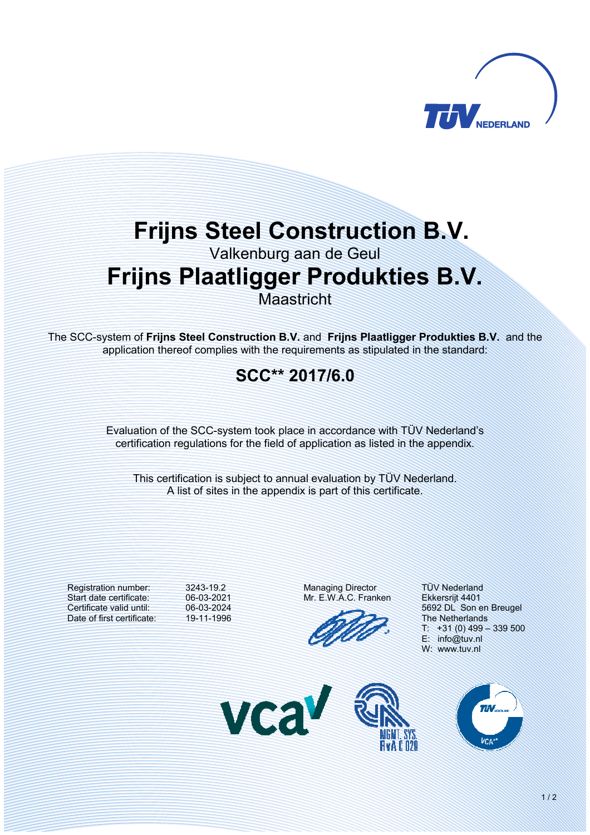

# **Frijns Steel Construction B.V.**

Valkenburg aan de Geul

## **Frijns Plaatligger Produkties B.V.**

Maastricht

The SCCsystem of **Frijns Steel Construction B.V.** and **Frijns Plaatligger Produkties B.V.** and the application thereof complies with the requirements as stipulated in the standard:

### **SCC\*\* 2017/6.0**

Evaluation of the SCC-system took place in accordance with TÜV Nederland's certification regulations for the field of application as listed in the appendix.

This certification is subject to annual evaluation by TÜV Nederland. A list of sites in the appendix is part of this certificate.

Registration number: Start date certificate: Certificate valid until: Date of first certificate: 3243-19.2 06-03-2021 06-03-2024 19-11-1996

VC

Managing Director Mr. E.W.A.C. Franken

TÜV Nederland Ekkersrijt 4401 5692 DL Son en Breugel The Netherlands  $+31(0)$  499 – 339 500 E: info@tuv.nl W: www.tuv.nl